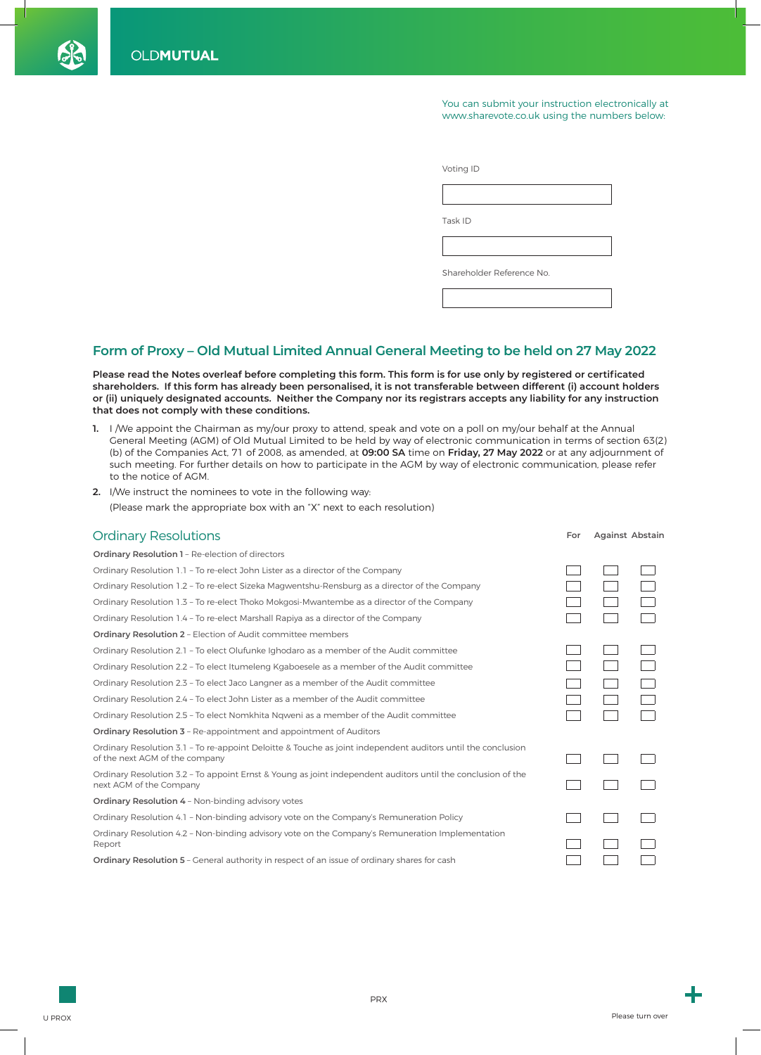You can submit your instruction electronically at www.sharevote.co.uk using the numbers below:

| Voting ID                 |
|---------------------------|
|                           |
| Task ID                   |
|                           |
| Shareholder Reference No. |
|                           |

## **Form of Proxy – Old Mutual Limited Annual General Meeting to be held on 27 May 2022**

Please read the Notes overleaf before completing this form. This form is for use only by registered or certificated **shareholders. If this form has already been personalised, it is not transferable between different (i) account holders or (ii) uniquely designated accounts. Neither the Company nor its registrars accepts any liability for any instruction that does not comply with these conditions.**

- **1.** I /We appoint the Chairman as my/our proxy to attend, speak and vote on a poll on my/our behalf at the Annual General Meeting (AGM) of Old Mutual Limited to be held by way of electronic communication in terms of section 63(2) (b) of the Companies Act, 71 of 2008, as amended, at **09:00 SA** time on **Friday, 27 May 2022** or at any adjournment of such meeting. For further details on how to participate in the AGM by way of electronic communication, please refer to the notice of AGM.
- **2.** I/We instruct the nominees to vote in the following way: (Please mark the appropriate box with an "X" next to each resolution)

| <b>Ordinary Resolutions</b>                                                                                                                    | For | Against Abstain |  |
|------------------------------------------------------------------------------------------------------------------------------------------------|-----|-----------------|--|
| <b>Ordinary Resolution 1 - Re-election of directors</b>                                                                                        |     |                 |  |
| Ordinary Resolution 1.1 - To re-elect John Lister as a director of the Company                                                                 |     |                 |  |
| Ordinary Resolution 1.2 - To re-elect Sizeka Magwentshu-Rensburg as a director of the Company                                                  |     |                 |  |
| Ordinary Resolution 1.3 - To re-elect Thoko Mokgosi-Mwantembe as a director of the Company                                                     |     |                 |  |
| Ordinary Resolution 1.4 - To re-elect Marshall Rapiya as a director of the Company                                                             |     |                 |  |
| <b>Ordinary Resolution 2 - Election of Audit committee members</b>                                                                             |     |                 |  |
| Ordinary Resolution 2.1 - To elect Olufunke Ighodaro as a member of the Audit committee                                                        |     |                 |  |
| Ordinary Resolution 2.2 - To elect Itumeleng Kgaboesele as a member of the Audit committee                                                     |     |                 |  |
| Ordinary Resolution 2.3 - To elect Jaco Langner as a member of the Audit committee                                                             |     |                 |  |
| Ordinary Resolution 2.4 - To elect John Lister as a member of the Audit committee                                                              |     |                 |  |
| Ordinary Resolution 2.5 - To elect Nomkhita Ngweni as a member of the Audit committee                                                          |     |                 |  |
| <b>Ordinary Resolution 3 - Re-appointment and appointment of Auditors</b>                                                                      |     |                 |  |
| Ordinary Resolution 3.1 - To re-appoint Deloitte & Touche as joint independent auditors until the conclusion<br>of the next AGM of the company |     |                 |  |
| Ordinary Resolution 3.2 - To appoint Ernst & Young as joint independent auditors until the conclusion of the<br>next AGM of the Company        |     |                 |  |
| <b>Ordinary Resolution 4 - Non-binding advisory votes</b>                                                                                      |     |                 |  |
| Ordinary Resolution 4.1 - Non-binding advisory vote on the Company's Remuneration Policy                                                       |     |                 |  |
| Ordinary Resolution 4.2 - Non-binding advisory vote on the Company's Remuneration Implementation<br>Report                                     |     |                 |  |
| <b>Ordinary Resolution 5</b> - General authority in respect of an issue of ordinary shares for cash                                            |     |                 |  |